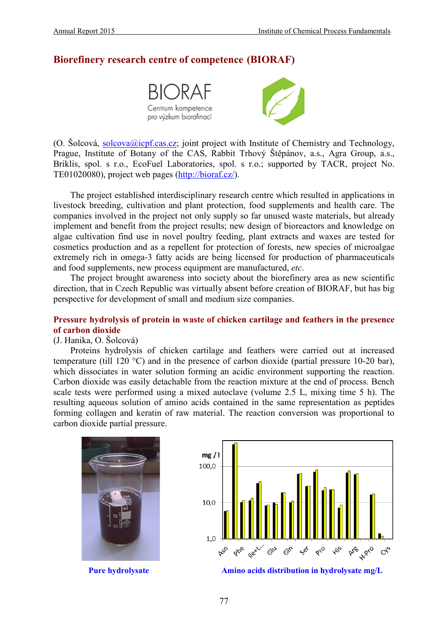## **Biorefinery research centre of competence (BIORAF)**



(O. Šolcová, [solcova@icpf.cas.cz;](mailto:solcova@icpf.cas.cz) joint project with Institute of Chemistry and Technology, Prague, Institute of Botany of the CAS, Rabbit Trhový Štěpánov, a.s., Agra Group, a.s., Briklis, spol. s r.o., EcoFuel Laboratories, spol. s r.o.; supported by TACR, project No. TE01020080), project web pages [\(http://bioraf.cz/\)](http://bioraf.cz/).

The project established interdisciplinary research centre which resulted in applications in livestock breeding, cultivation and plant protection, food supplements and health care. The companies involved in the project not only supply so far unused waste materials, but already implement and benefit from the project results; new design of bioreactors and knowledge on algae cultivation find use in novel poultry feeding, plant extracts and waxes are tested for cosmetics production and as a repellent for protection of forests, new species of microalgae extremely rich in omega-3 fatty acids are being licensed for production of pharmaceuticals and food supplements, new process equipment are manufactured, *etc*.

The project brought awareness into society about the biorefinery area as new scientific direction, that in Czech Republic was virtually absent before creation of BIORAF, but has big perspective for development of small and medium size companies.

### **Pressure hydrolysis of protein in waste of chicken cartilage and feathers in the presence of carbon dioxide**

#### (J. Hanika, O. Šolcová)

Proteins hydrolysis of chicken cartilage and feathers were carried out at increased temperature (till 120 °C) and in the presence of carbon dioxide (partial pressure 10-20 bar), which dissociates in water solution forming an acidic environment supporting the reaction. Carbon dioxide was easily detachable from the reaction mixture at the end of process. Bench scale tests were performed using a mixed autoclave (volume 2.5 L, mixing time 5 h). The resulting aqueous solution of amino acids contained in the same representation as peptides forming collagen and keratin of raw material. The reaction conversion was proportional to carbon dioxide partial pressure.





**Pure hydrolysate Amino acids distribution in hydrolysate mg/L**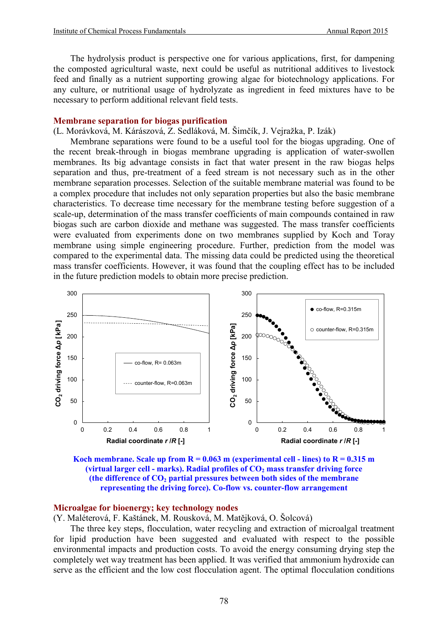The hydrolysis product is perspective one for various applications, first, for dampening the composted agricultural waste, next could be useful as nutritional additives to livestock feed and finally as a nutrient supporting growing algae for biotechnology applications. For any culture, or nutritional usage of hydrolyzate as ingredient in feed mixtures have to be necessary to perform additional relevant field tests.

#### **Membrane separation for biogas purification**

(L. Morávková, M. Kárászová, Z. Sedláková, M. Šimčík, J. Vejražka, P. Izák)

Membrane separations were found to be a useful tool for the biogas upgrading. One of the recent break-through in biogas membrane upgrading is application of water-swollen membranes. Its big advantage consists in fact that water present in the raw biogas helps separation and thus, pre-treatment of a feed stream is not necessary such as in the other membrane separation processes. Selection of the suitable membrane material was found to be a complex procedure that includes not only separation properties but also the basic membrane characteristics. To decrease time necessary for the membrane testing before suggestion of a scale-up, determination of the mass transfer coefficients of main compounds contained in raw biogas such are carbon dioxide and methane was suggested. The mass transfer coefficients were evaluated from experiments done on two membranes supplied by Koch and Toray membrane using simple engineering procedure. Further, prediction from the model was compared to the experimental data. The missing data could be predicted using the theoretical mass transfer coefficients. However, it was found that the coupling effect has to be included in the future prediction models to obtain more precise prediction.



**Koch membrane. Scale up from**  $R = 0.063$  **m (experimental cell - lines) to**  $R = 0.315$  **m (virtual larger cell - marks). Radial profiles of CO<sub>2</sub> mass transfer driving force** (the difference of  $CO<sub>2</sub>$  partial pressures between both sides of the membrane **representing the driving force). Co-flow vs. counter-flow arrangement**

#### **Microalgae for bioenergy; key technology nodes**

(Y. Maléterová, F. Kaštánek, M. Rousková, M. Matějková, O. Šolcová)

The three key steps, flocculation, water recycling and extraction of microalgal treatment for lipid production have been suggested and evaluated with respect to the possible environmental impacts and production costs. To avoid the energy consuming drying step the completely wet way treatment has been applied. It was verified that ammonium hydroxide can serve as the efficient and the low cost flocculation agent. The optimal flocculation conditions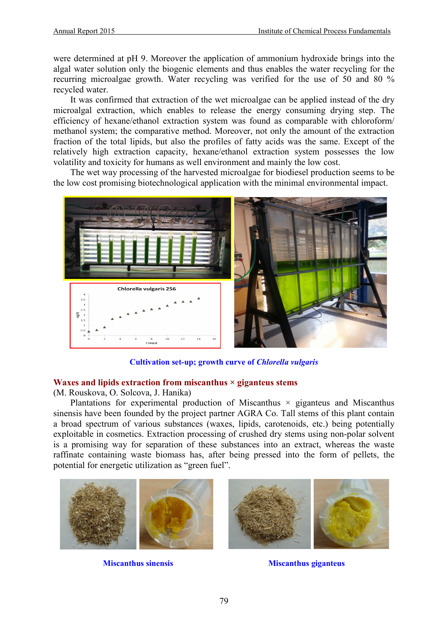were determined at pH 9. Moreover the application of ammonium hydroxide brings into the algal water solution only the biogenic elements and thus enables the water recycling for the recurring microalgae growth. Water recycling was verified for the use of 50 and 80 % recycled water.

It was confirmed that extraction of the wet microalgae can be applied instead of the dry microalgal extraction, which enables to release the energy consuming drying step. The efficiency of hexane/ethanol extraction system was found as comparable with chloroform/ methanol system; the comparative method. Moreover, not only the amount of the extraction fraction of the total lipids, but also the profiles of fatty acids was the same. Except of the relatively high extraction capacity, hexane/ethanol extraction system possesses the low volatility and toxicity for humans as well environment and mainly the low cost.

The wet way processing of the harvested microalgae for biodiesel production seems to be the low cost promising biotechnological application with the minimal environmental impact.



**Cultivation set-up; growth curve of** *Chlorella vulgaris*

## **Waxes and lipids extraction from miscanthus × giganteus stems**

(M. Rouskova, O. Solcova, J. Hanika)

Plantations for experimental production of Miscanthus  $\times$  giganteus and Miscanthus sinensis have been founded by the project partner AGRA Co. Tall stems of this plant contain a broad spectrum of various substances (waxes, lipids, carotenoids, etc.) being potentially exploitable in cosmetics. Extraction processing of crushed dry stems using non-polar solvent is a promising way for separation of these substances into an extract, whereas the waste raffinate containing waste biomass has, after being pressed into the form of pellets, the potential for energetic utilization as "green fuel".





**Miscanthus sinensis** Miscanthus giganteus